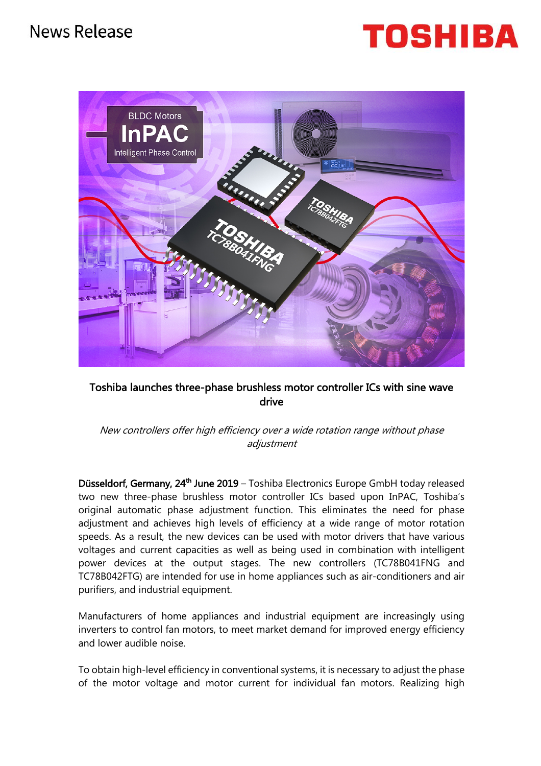



Toshiba launches three-phase brushless motor controller ICs with sine wave drive

New controllers offer high efficiency over a wide rotation range without phase adjustment

Düsseldorf, Germany, 24<sup>th</sup> June 2019 – Toshiba Electronics Europe GmbH today released two new three-phase brushless motor controller ICs based upon InPAC, Toshiba's original automatic phase adjustment function. This eliminates the need for phase adjustment and achieves high levels of efficiency at a wide range of motor rotation speeds. As a result, the new devices can be used with motor drivers that have various voltages and current capacities as well as being used in combination with intelligent power devices at the output stages. The new controllers (TC78B041FNG and TC78B042FTG) are intended for use in home appliances such as air-conditioners and air purifiers, and industrial equipment.

Manufacturers of home appliances and industrial equipment are increasingly using inverters to control fan motors, to meet market demand for improved energy efficiency and lower audible noise.

To obtain high-level efficiency in conventional systems, it is necessary to adjust the phase of the motor voltage and motor current for individual fan motors. Realizing high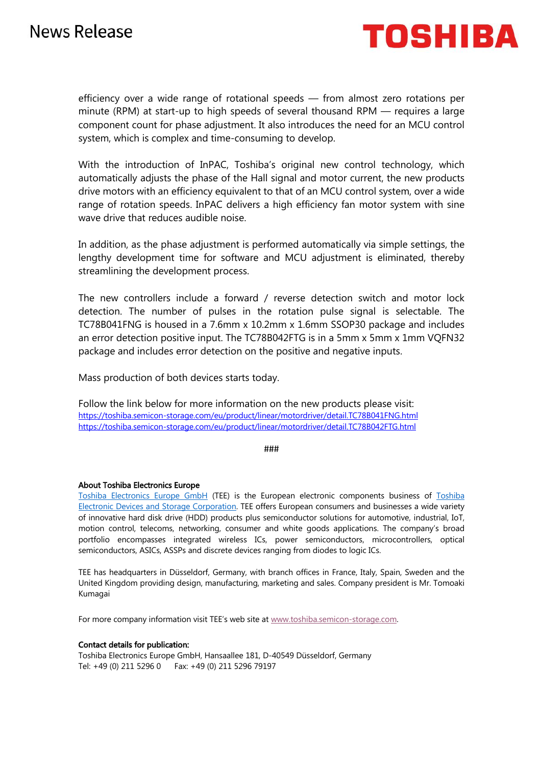

efficiency over a wide range of rotational speeds — from almost zero rotations per minute (RPM) at start-up to high speeds of several thousand RPM — requires a large component count for phase adjustment. It also introduces the need for an MCU control system, which is complex and time-consuming to develop.

With the introduction of InPAC, Toshiba's original new control technology, which automatically adjusts the phase of the Hall signal and motor current, the new products drive motors with an efficiency equivalent to that of an MCU control system, over a wide range of rotation speeds. InPAC delivers a high efficiency fan motor system with sine wave drive that reduces audible noise.

In addition, as the phase adjustment is performed automatically via simple settings, the lengthy development time for software and MCU adjustment is eliminated, thereby streamlining the development process.

The new controllers include a forward / reverse detection switch and motor lock detection. The number of pulses in the rotation pulse signal is selectable. The TC78B041FNG is housed in a 7.6mm x 10.2mm x 1.6mm SSOP30 package and includes an error detection positive input. The TC78B042FTG is in a 5mm x 5mm x 1mm VQFN32 package and includes error detection on the positive and negative inputs.

Mass production of both devices starts today.

Follow the link below for more information on the new products please visit: https://toshiba.semicon-storage.com/eu/product/linear/motordriver/detail.TC78B041FNG.html https://toshiba.semicon-storage.com/eu/product/linear/motordriver/detail.TC78B042FTG.html

###

### About Toshiba Electronics Europe

Toshiba Electronics Europe GmbH (TEE) is the European electronic components business of Toshiba Electronic Devices and Storage Corporation. TEE offers European consumers and businesses a wide variety of innovative hard disk drive (HDD) products plus semiconductor solutions for automotive, industrial, IoT, motion control, telecoms, networking, consumer and white goods applications. The company's broad portfolio encompasses integrated wireless ICs, power semiconductors, microcontrollers, optical semiconductors, ASICs, ASSPs and discrete devices ranging from diodes to logic ICs.

TEE has headquarters in Düsseldorf, Germany, with branch offices in France, Italy, Spain, Sweden and the United Kingdom providing design, manufacturing, marketing and sales. Company president is Mr. Tomoaki Kumagai

For more company information visit TEE's web site at www.toshiba.semicon-storage.com.

### Contact details for publication:

Toshiba Electronics Europe GmbH, Hansaallee 181, D-40549 Düsseldorf, Germany Tel: +49 (0) 211 5296 0 Fax: +49 (0) 211 5296 79197